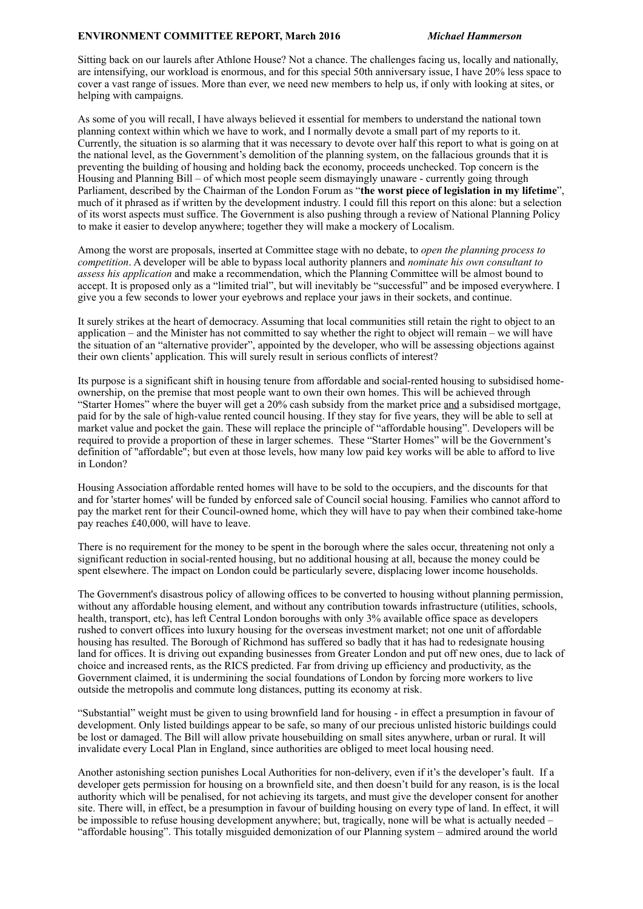## **ENVIRONMENT COMMITTEE REPORT, March 2016** *Michael Hammerson*

Sitting back on our laurels after Athlone House? Not a chance. The challenges facing us, locally and nationally, are intensifying, our workload is enormous, and for this special 50th anniversary issue, I have 20% less space to cover a vast range of issues. More than ever, we need new members to help us, if only with looking at sites, or helping with campaigns.

As some of you will recall, I have always believed it essential for members to understand the national town planning context within which we have to work, and I normally devote a small part of my reports to it. Currently, the situation is so alarming that it was necessary to devote over half this report to what is going on at the national level, as the Government's demolition of the planning system, on the fallacious grounds that it is preventing the building of housing and holding back the economy, proceeds unchecked. Top concern is the Housing and Planning Bill – of which most people seem dismayingly unaware - currently going through Parliament, described by the Chairman of the London Forum as "**the worst piece of legislation in my lifetime**", much of it phrased as if written by the development industry. I could fill this report on this alone: but a selection of its worst aspects must suffice. The Government is also pushing through a review of National Planning Policy to make it easier to develop anywhere; together they will make a mockery of Localism.

Among the worst are proposals, inserted at Committee stage with no debate, to *open the planning process to competition*. A developer will be able to bypass local authority planners and *nominate his own consultant to assess his application* and make a recommendation, which the Planning Committee will be almost bound to accept. It is proposed only as a "limited trial", but will inevitably be "successful" and be imposed everywhere. I give you a few seconds to lower your eyebrows and replace your jaws in their sockets, and continue.

It surely strikes at the heart of democracy. Assuming that local communities still retain the right to object to an application – and the Minister has not committed to say whether the right to object will remain – we will have the situation of an "alternative provider", appointed by the developer, who will be assessing objections against their own clients' application. This will surely result in serious conflicts of interest?

Its purpose is a significant shift in housing tenure from affordable and social-rented housing to subsidised homeownership, on the premise that most people want to own their own homes. This will be achieved through "Starter Homes" where the buyer will get a 20% cash subsidy from the market price and a subsidised mortgage, paid for by the sale of high-value rented council housing. If they stay for five years, they will be able to sell at market value and pocket the gain. These will replace the principle of "affordable housing". Developers will be required to provide a proportion of these in larger schemes. These "Starter Homes" will be the Government's definition of "affordable"; but even at those levels, how many low paid key works will be able to afford to live in London?

Housing Association affordable rented homes will have to be sold to the occupiers, and the discounts for that and for 'starter homes' will be funded by enforced sale of Council social housing. Families who cannot afford to pay the market rent for their Council-owned home, which they will have to pay when their combined take-home pay reaches £40,000, will have to leave.

There is no requirement for the money to be spent in the borough where the sales occur, threatening not only a significant reduction in social-rented housing, but no additional housing at all, because the money could be spent elsewhere. The impact on London could be particularly severe, displacing lower income households.

The Government's disastrous policy of allowing offices to be converted to housing without planning permission, without any affordable housing element, and without any contribution towards infrastructure (utilities, schools, health, transport, etc), has left Central London boroughs with only 3% available office space as developers rushed to convert offices into luxury housing for the overseas investment market; not one unit of affordable housing has resulted. The Borough of Richmond has suffered so badly that it has had to redesignate housing land for offices. It is driving out expanding businesses from Greater London and put off new ones, due to lack of choice and increased rents, as the RICS predicted. Far from driving up efficiency and productivity, as the Government claimed, it is undermining the social foundations of London by forcing more workers to live outside the metropolis and commute long distances, putting its economy at risk.

"Substantial" weight must be given to using brownfield land for housing - in effect a presumption in favour of development. Only listed buildings appear to be safe, so many of our precious unlisted historic buildings could be lost or damaged. The Bill will allow private housebuilding on small sites anywhere, urban or rural. It will invalidate every Local Plan in England, since authorities are obliged to meet local housing need.

Another astonishing section punishes Local Authorities for non-delivery, even if it's the developer's fault. If a developer gets permission for housing on a brownfield site, and then doesn't build for any reason, is is the local authority which will be penalised, for not achieving its targets, and must give the developer consent for another site. There will, in effect, be a presumption in favour of building housing on every type of land. In effect, it will be impossible to refuse housing development anywhere; but, tragically, none will be what is actually needed – "affordable housing". This totally misguided demonization of our Planning system – admired around the world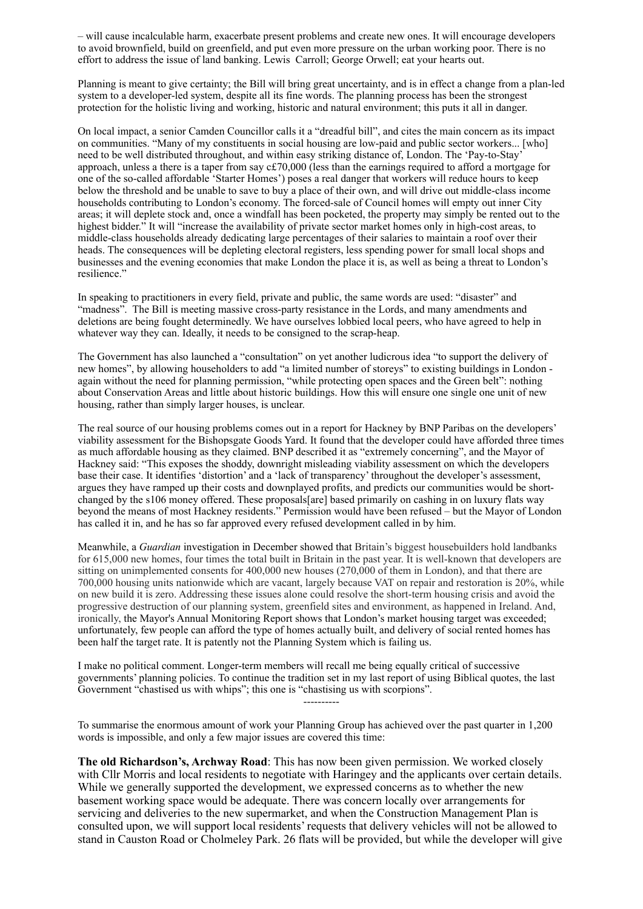– will cause incalculable harm, exacerbate present problems and create new ones. It will encourage developers to avoid brownfield, build on greenfield, and put even more pressure on the urban working poor. There is no effort to address the issue of land banking. Lewis Carroll; George Orwell; eat your hearts out.

Planning is meant to give certainty; the Bill will bring great uncertainty, and is in effect a change from a plan-led system to a developer-led system, despite all its fine words. The planning process has been the strongest protection for the holistic living and working, historic and natural environment; this puts it all in danger.

On local impact, a senior Camden Councillor calls it a "dreadful bill", and cites the main concern as its impact on communities. "Many of my constituents in social housing are low-paid and public sector workers... [who] need to be well distributed throughout, and within easy striking distance of, London. The 'Pay-to-Stay' approach, unless a there is a taper from say c£70,000 (less than the earnings required to afford a mortgage for one of the so-called affordable 'Starter Homes') poses a real danger that workers will reduce hours to keep below the threshold and be unable to save to buy a place of their own, and will drive out middle-class income households contributing to London's economy. The forced-sale of Council homes will empty out inner City areas; it will deplete stock and, once a windfall has been pocketed, the property may simply be rented out to the highest bidder." It will "increase the availability of private sector market homes only in high-cost areas, to middle-class households already dedicating large percentages of their salaries to maintain a roof over their heads. The consequences will be depleting electoral registers, less spending power for small local shops and businesses and the evening economies that make London the place it is, as well as being a threat to London's resilience."

In speaking to practitioners in every field, private and public, the same words are used: "disaster" and "madness". The Bill is meeting massive cross-party resistance in the Lords, and many amendments and deletions are being fought determinedly. We have ourselves lobbied local peers, who have agreed to help in whatever way they can. Ideally, it needs to be consigned to the scrap-heap.

The Government has also launched a "consultation" on yet another ludicrous idea "to support the delivery of new homes", by allowing householders to add "a limited number of storeys" to existing buildings in London again without the need for planning permission, "while protecting open spaces and the Green belt": nothing about Conservation Areas and little about historic buildings. How this will ensure one single one unit of new housing, rather than simply larger houses, is unclear.

The real source of our housing problems comes out in a report for Hackney by BNP Paribas on the developers' viability assessment for the Bishopsgate Goods Yard. It found that the developer could have afforded three times as much affordable housing as they claimed. BNP described it as "extremely concerning", and the Mayor of Hackney said: "This exposes the shoddy, downright misleading viability assessment on which the developers base their case. It identifies 'distortion' and a 'lack of transparency' throughout the developer's assessment, argues they have ramped up their costs and downplayed profits, and predicts our communities would be shortchanged by the s106 money offered. These proposals[are] based primarily on cashing in on luxury flats way beyond the means of most Hackney residents." Permission would have been refused – but the Mayor of London has called it in, and he has so far approved every refused development called in by him.

Meanwhile, a *Guardian* investigation in December showed that Britain's biggest housebuilders hold landbanks for 615,000 new homes, four times the total built in Britain in the past year. It is well-known that developers are sitting on unimplemented consents for 400,000 new houses (270,000 of them in London), and that there are 700,000 housing units nationwide which are vacant, largely because VAT on repair and restoration is 20%, while on new build it is zero. Addressing these issues alone could resolve the short-term housing crisis and avoid the progressive destruction of our planning system, greenfield sites and environment, as happened in Ireland. And, ironically, the Mayor's Annual Monitoring Report shows that London's market housing target was exceeded; unfortunately, few people can afford the type of homes actually built, and delivery of social rented homes has been half the target rate. It is patently not the Planning System which is failing us.

I make no political comment. Longer-term members will recall me being equally critical of successive governments' planning policies. To continue the tradition set in my last report of using Biblical quotes, the last Government "chastised us with whips"; this one is "chastising us with scorpions".

----------

To summarise the enormous amount of work your Planning Group has achieved over the past quarter in 1,200 words is impossible, and only a few major issues are covered this time:

**The old Richardson's, Archway Road**: This has now been given permission. We worked closely with Cllr Morris and local residents to negotiate with Haringey and the applicants over certain details. While we generally supported the development, we expressed concerns as to whether the new basement working space would be adequate. There was concern locally over arrangements for servicing and deliveries to the new supermarket, and when the Construction Management Plan is consulted upon, we will support local residents' requests that delivery vehicles will not be allowed to stand in Causton Road or Cholmeley Park. 26 flats will be provided, but while the developer will give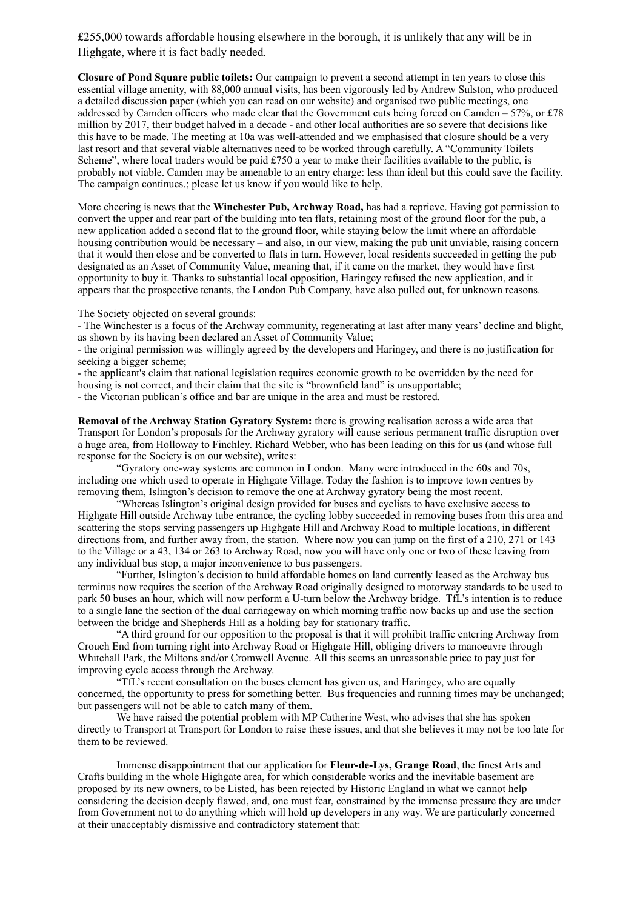£255,000 towards affordable housing elsewhere in the borough, it is unlikely that any will be in Highgate, where it is fact badly needed.

**Closure of Pond Square public toilets:** Our campaign to prevent a second attempt in ten years to close this essential village amenity, with 88,000 annual visits, has been vigorously led by Andrew Sulston, who produced a detailed discussion paper (which you can read on our website) and organised two public meetings, one addressed by Camden officers who made clear that the Government cuts being forced on Camden – 57%, or £78 million by 2017, their budget halved in a decade - and other local authorities are so severe that decisions like this have to be made. The meeting at 10a was well-attended and we emphasised that closure should be a very last resort and that several viable alternatives need to be worked through carefully. A "Community Toilets Scheme", where local traders would be paid £750 a year to make their facilities available to the public, is probably not viable. Camden may be amenable to an entry charge: less than ideal but this could save the facility. The campaign continues.; please let us know if you would like to help.

More cheering is news that the **Winchester Pub, Archway Road,** has had a reprieve. Having got permission to convert the upper and rear part of the building into ten flats, retaining most of the ground floor for the pub, a new application added a second flat to the ground floor, while staying below the limit where an affordable housing contribution would be necessary – and also, in our view, making the pub unit unviable, raising concern that it would then close and be converted to flats in turn. However, local residents succeeded in getting the pub designated as an Asset of Community Value, meaning that, if it came on the market, they would have first opportunity to buy it. Thanks to substantial local opposition, Haringey refused the new application, and it appears that the prospective tenants, the London Pub Company, have also pulled out, for unknown reasons.

The Society objected on several grounds:

- The Winchester is a focus of the Archway community, regenerating at last after many years' decline and blight, as shown by its having been declared an Asset of Community Value;

- the original permission was willingly agreed by the developers and Haringey, and there is no justification for seeking a bigger scheme;

- the applicant's claim that national legislation requires economic growth to be overridden by the need for housing is not correct, and their claim that the site is "brownfield land" is unsupportable;

- the Victorian publican's office and bar are unique in the area and must be restored.

**Removal of the Archway Station Gyratory System:** there is growing realisation across a wide area that Transport for London's proposals for the Archway gyratory will cause serious permanent traffic disruption over a huge area, from Holloway to Finchley. Richard Webber, who has been leading on this for us (and whose full response for the Society is on our website), writes:

"Gyratory one-way systems are common in London. Many were introduced in the 60s and 70s, including one which used to operate in Highgate Village. Today the fashion is to improve town centres by removing them, Islington's decision to remove the one at Archway gyratory being the most recent.

"Whereas Islington's original design provided for buses and cyclists to have exclusive access to Highgate Hill outside Archway tube entrance, the cycling lobby succeeded in removing buses from this area and scattering the stops serving passengers up Highgate Hill and Archway Road to multiple locations, in different directions from, and further away from, the station. Where now you can jump on the first of a 210, 271 or 143 to the Village or a 43, 134 or 263 to Archway Road, now you will have only one or two of these leaving from any individual bus stop, a major inconvenience to bus passengers.

"Further, Islington's decision to build affordable homes on land currently leased as the Archway bus terminus now requires the section of the Archway Road originally designed to motorway standards to be used to park 50 buses an hour, which will now perform a U-turn below the Archway bridge. TfL's intention is to reduce to a single lane the section of the dual carriageway on which morning traffic now backs up and use the section between the bridge and Shepherds Hill as a holding bay for stationary traffic.

"A third ground for our opposition to the proposal is that it will prohibit traffic entering Archway from Crouch End from turning right into Archway Road or Highgate Hill, obliging drivers to manoeuvre through Whitehall Park, the Miltons and/or Cromwell Avenue. All this seems an unreasonable price to pay just for improving cycle access through the Archway.

"TfL's recent consultation on the buses element has given us, and Haringey, who are equally concerned, the opportunity to press for something better. Bus frequencies and running times may be unchanged; but passengers will not be able to catch many of them.

We have raised the potential problem with MP Catherine West, who advises that she has spoken directly to Transport at Transport for London to raise these issues, and that she believes it may not be too late for them to be reviewed.

Immense disappointment that our application for **Fleur-de-Lys, Grange Road**, the finest Arts and Crafts building in the whole Highgate area, for which considerable works and the inevitable basement are proposed by its new owners, to be Listed, has been rejected by Historic England in what we cannot help considering the decision deeply flawed, and, one must fear, constrained by the immense pressure they are under from Government not to do anything which will hold up developers in any way. We are particularly concerned at their unacceptably dismissive and contradictory statement that: